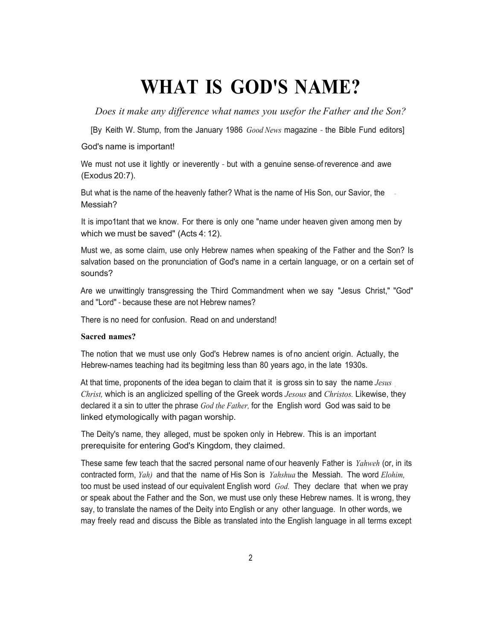# **WHAT IS GOD'S NAME?**

*Does it make any difference what names you usefor the Father and the Son?*

[By Keith W. Stump, from the January 1986 *Good News* magazine - the Bible Fund editors]

God's name is important!

We must not use it lightly or ineverently - but with a genuine sense of reverence and awe (Exodus 20:7).

But what is the name of the heavenly father? What is the name of His Son, our Savior, the Messiah?

It is impo1tant that we know. For there is only one "name under heaven given among men by which we must be saved" (Acts 4: 12).

Must we, as some claim, use only Hebrew names when speaking of the Father and the Son? Is salvation based on the pronunciation of God's name in a certain language, or on a certain set of sounds?

Are we unwittingly transgressing the Third Commandment when we say "Jesus Christ," "God" and ''Lord" - because these are not Hebrew names?

There is no need for confusion. Read on and understand!

# **Sacred names?**

The notion that we must use only God's Hebrew names is of no ancient origin. Actually, the Hebrew-names teaching had its begitming less than 80 years ago, in the late 1930s.

At that time, proponents of the idea began to claim that it is gross sin to say the name *Jesus Christ,* which is an anglicized spelling of the Greek words *Jesous* and *Christos.* Likewise, they declared it a sin to utter the phrase *God the Father,* for the English word God was said to be linked etymologically with pagan worship.

The Deity's name, they alleged, must be spoken only in Hebrew. This is an important prerequisite for entering God's Kingdom, they claimed.

These same few teach that the sacred personal name of our heavenly Father is *Yahweh* (or, in its contracted form, *Yah)* and that the name of His Son is *Yahshua* the Messiah. The word *Elohim,* too must be used instead of our equivalent English word *God.* They declare that when we pray or speak about the Father and the Son, we must use only these Hebrew names. It is wrong, they say, to translate the names of the Deity into English or any other language. In other words, we may freely read and discuss the Bible as translated into the English language in all terms except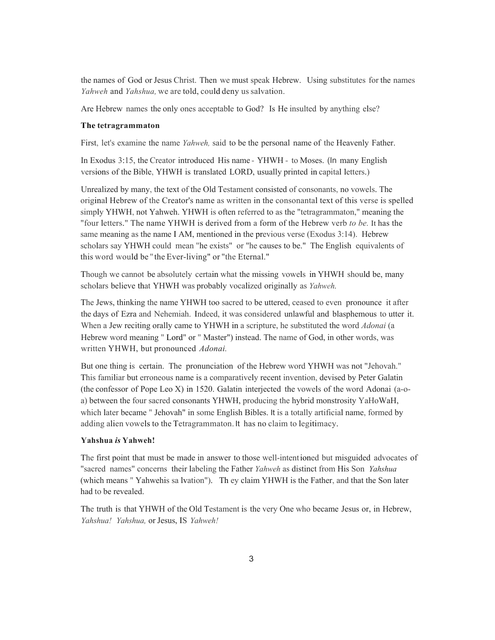the names of God or Jesus Christ. Then we must speak Hebrew. Using substitutes for the names *Yahweh* and *Yahshua,* we are told, could deny us salvation.

Are Hebrew names the only ones acceptable to God? Is He insulted by anything else?

#### **The tetragrammaton**

First, let's examine the name *Yahweh,* said to be the personal name of the Heavenly Father.

In Exodus 3:15, the Creator introduced His name - YHWH - to Moses. (In many English versions of the Bible, YHWH is translated LORD, usually printed in capital letters.)

Unrealized by many, the text of the Old Testament consisted of consonants, no vowels. The original Hebrew of the Creator's name as written in the consonantal text of this verse is spelled simply YHWH, not Yahweh. YHWH is often referred to as the "tetragrammaton," meaning the "four letters." The name YHWH is derived from a form of the Hebrew verb *to be.* It has the same meaning as the name I AM, mentioned in the previous verse (Exodus 3:14). Hebrew scholars say YHWH could mean "he exists" or "he causes to be." The English equivalents of this word would be " the Ever-living" or "the Eternal."

Though we cannot be absolutely certain what the missing vowels in YHWH should be, many scholars believe that YHWH was probably vocalized originally as *Yahweh.*

The Jews, thinking the name YHWH too sacred to be uttered, ceased to even pronounce it after the days of Ezra and Nehemiah. Indeed, it was considered unlawful and blasphemous to utter it. When a Jew reciting orally came to YHWH in a scripture, he substituted the word *Adonai* (a Hebrew word meaning " Lord" or " Master") instead. The name of God, in other words, was written YHWH, but pronounced *Adonai.*

But one thing is certain. The pronunciation of the Hebrew word YHWH was not "Jehovah." This familiar but erroneous name is a comparatively recent invention, devised by Peter Galatin (the confessor of Pope Leo X) in 1520. Galatin interjected the vowels of the word Adonai (a-oa) between the four sacred consonants YHWH, producing the hybrid monstrosity YaHoWaH, which later became " Jehovah" in some English Bibles. It is a totally artificial name, formed by adding alien vowels to the Tetragrammaton. It has no claim to legitimacy.

### **Yahshua** *is* **Yahweh!**

The first point that must be made in answer to those well-intentioned but misguided advocates of "sacred names" concerns their labeling the Father *Yahweh* as distinct from His Son *Yahshua* (which means " Yahwehis sa lvation"). Th ey claim YHWH is the Father, and that the Son later had to be revealed.

The truth is that YHWH of the Old Testament is the very One who became Jesus or, in Hebrew, *Yahshua! Yahshua,* or Jesus, IS *Yahweh!*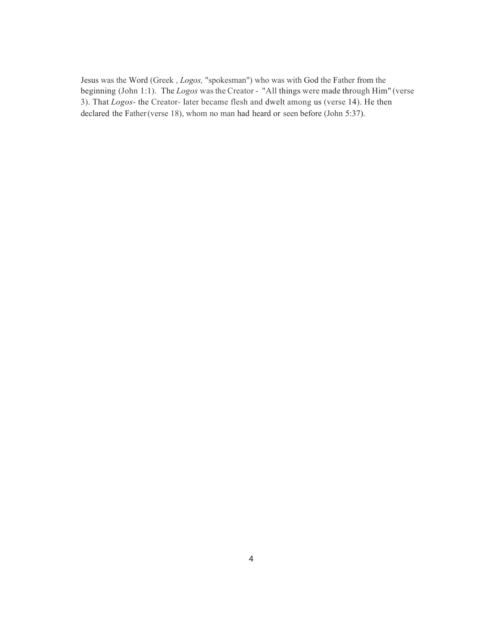Jesus was the Word (Greek , *Logos,* "spokesman") who was with God the Father from the beginning (John 1:1). The *Logos* was the Creator - "All things were made through Him" (verse 3). That *Logos-* the Creator- later became flesh and dwelt among us (verse 14). He then declared the Father(verse 18), whom no man had heard or seen before (John 5:37).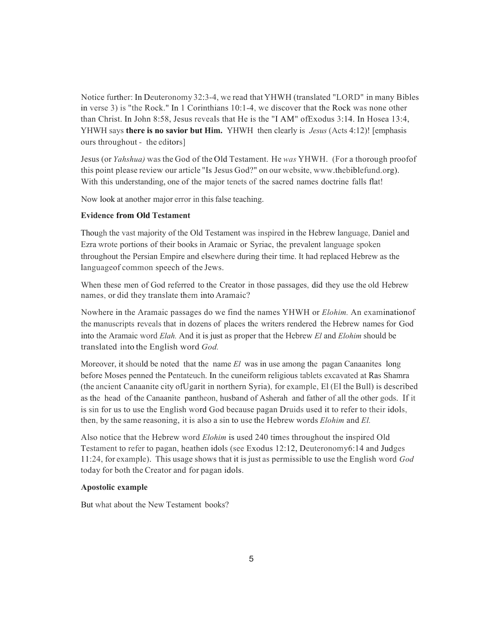Notice further: In Deuteronomy 32:3-4, we read that YHWH (translated "LORD" in many Bibles in verse 3) is "the Rock." In 1 Corinthians 10:1-4, we discover that the Rock was none other than Christ. In John 8:58, Jesus reveals that He is the "I AM" ofExodus 3:14. In Hosea 13:4, YHWH says **there is no savior but Him.** YHWH then clearly is *Jesus* (Acts 4:12)! [emphasis ours throughout - the editors]

Jesus (or *Yahshua)* was the God of the Old Testament. He *was* YHWH. (For a thorough proofof this point please review our article "Is Jesus God?" on our website, www.thebiblefund.org). With this understanding, one of the major tenets of the sacred names doctrine falls flat!

Now look at another major error in this false teaching.

### **Evidence from Old Testament**

Though the vast majority of the Old Testament was inspired in the Hebrew language, Daniel and Ezra wrote portions of their books in Aramaic or Syriac, the prevalent language spoken throughout the Persian Empire and elsewhere during their time. It had replaced Hebrew as the languageof common speech of the Jews.

When these men of God referred to the Creator in those passages, did they use the old Hebrew names, or did they translate them into Aramaic?

Nowhere in the Aramaic passages do we find the names YHWH or *Elohim.* An examinationof the manuscripts reveals that in dozens of places the writers rendered the Hebrew names for God into the Aramaic word *Elah.* And it is just as proper that the Hebrew *El* and *Elohim* should be translated into the English word *God.*

Moreover, it should be noted that the name *El* was in use among the pagan Canaanites long before Moses penned the Pentateuch. In the cuneiform religious tablets excavated at Ras Shamra (the ancient Canaanite city ofUgarit in northern Syria), for example, El (El the Bull) is described as the head of the Canaanite pantheon, husband of Asherah and father of all the other gods. If it is sin for us to use the English word God because pagan Druids used it to refer to their idols, then, by the same reasoning, it is also a sin to use the Hebrew words *Elohim* and *El.*

Also notice that the Hebrew word *Elohim* is used 240 times throughout the inspired Old Testament to refer to pagan, heathen idols (see Exodus 12:12, Deuteronomy6:14 and Judges 11:24, for example). This usage shows that it isjust as permissible to use the English word *God* today for both the Creator and for pagan idols.

#### **Apostolic example**

But what about the New Testament books?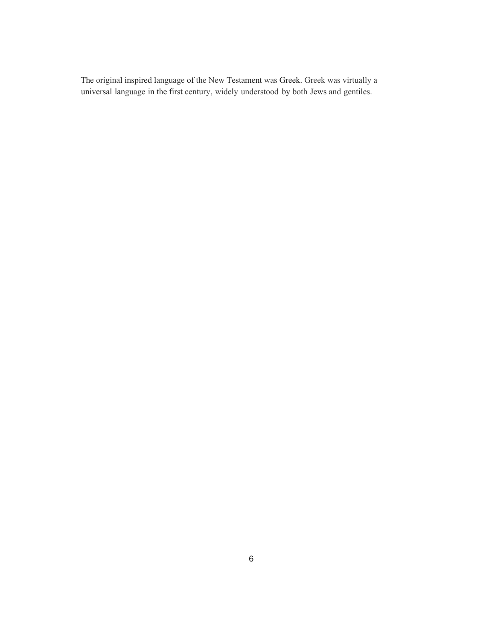The original inspired language of the New Testament was Greek. Greek was virtually a universal language in the first century, widely understood by both Jews and gentiles.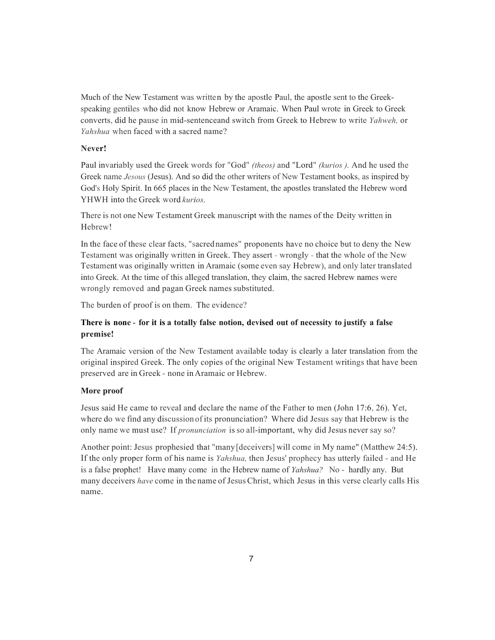Much of the New Testament was written by the apostle Paul, the apostle sent to the Greekspeaking gentiles who did not know Hebrew or Aramaic. When Paul wrote in Greek to Greek converts, did he pause in mid-sentenceand switch from Greek to Hebrew to write *Yahweh,* or *Yahshua* when faced with a sacred name?

### **Never!**

Paul invariably used the Greek words for "God" *(theos)* and "Lord" *(kurios ).* And he used the Greek name *Jesous* (Jesus). And so did the other writers of New Testament books, as inspired by God's Holy Spirit. In 665 places in the New Testament, the apostles translated the Hebrew word YHWH into the Greek word *kurios.*

There is not one New Testament Greek manuscript with the names of the Deity written in Hebrew!

In the face of these clear facts, "sacred names" proponents have no choice but to deny the New Testament was originally written in Greek. They assert - wrongly - that the whole of the New Testament was originally written in Aramaic (some even say Hebrew), and only later translated into Greek. At the time of this alleged translation, they claim, the sacred Hebrew names were wrongly removed and pagan Greek names substituted.

The burden of proof is on them. The evidence?

# **There is none** - **for it is a totally false notion, devised out of necessity to justify a false premise!**

The Aramaic version of the New Testament available today is clearly a later translation from the original inspired Greek. The only copies of the original New Testament writings that have been preserved are in Greek - none inAramaic or Hebrew.

## **More proof**

Jesus said He came to reveal and declare the name of the Father to men (John 17:6, 26). Yet, where do we find any discussion of its pronunciation? Where did Jesus say that Hebrew is the only name we must use? If *pronunciation* isso all-important, why did Jesus never say so?

Another point: Jesus prophesied that "many[deceivers] will come in My name" (Matthew 24:5). If the only proper form of his name is *Yahshua,* then Jesus' prophecy has utterly failed - and He is a false prophet! Have many come in the Hebrew name of *Yahshua?* No - hardly any. But many deceivers *have* come in the name of Jesus Christ, which Jesus in this verse clearly calls His name.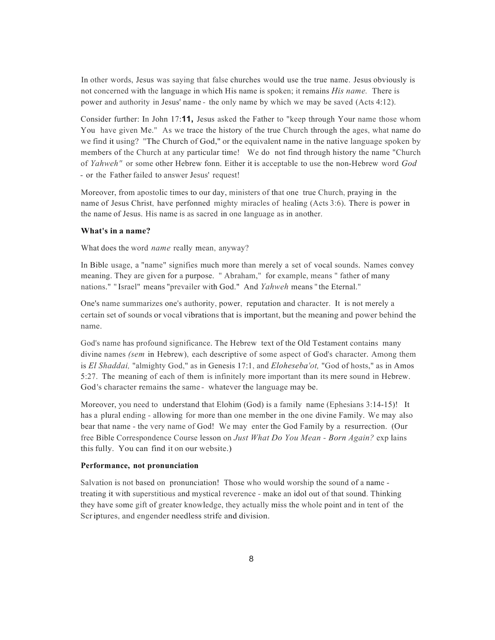In other words, Jesus was saying that false churches would use the true name. Jesus obviously is not concerned with the language in which His name is spoken; it remains *His name.* There is power and authority in Jesus' name - the only name by which we may be saved (Acts 4:12).

Consider further: In John 17:**11,** Jesus asked the Father to "keep through Your name those whom You have given Me." As we trace the history of the true Church through the ages, what name do we find it using? "The Church of God," or the equivalent name in the native language spoken by members of the Church at any particular time! We do not find through history the name "Church of *Yahweh"* or some other Hebrew fonn. Either it is acceptable to use the non-Hebrew word *God* - or the Father failed to answer Jesus' request!

Moreover, from apostolic times to our day, ministers of that one true Church, praying in the name of Jesus Christ, have perfonned mighty miracles of healing (Acts 3:6). There is power in the name of Jesus. His name is as sacred in one language as in another.

### **What's in a name?**

What does the word *name* really mean, anyway?

In Bible usage, a "name" signifies much more than merely a set of vocal sounds. Names convey meaning. They are given for a purpose. " Abraham," for example, means " father of many nations." " Israel" means "prevailer with God." And *Yahweh* means " the Eternal."

One's name summarizes one's authority, power, reputation and character. It is not merely a certain set of sounds or vocal vibrations that is important, but the meaning and power behind the name.

God's name has profound significance. The Hebrew text of the Old Testament contains many divine names *(sem* in Hebrew), each descriptive of some aspect of God's character. Among them is *El Shaddai,* "almighty God," as in Genesis 17:1, and *Eloheseba'ot,* "God of hosts," as in Amos 5:27. The meaning of each of them is infinitely more important than its mere sound in Hebrew. God's character remains the same - whatever the language may be.

Moreover, you need to understand that Elohim (God) is a family name (Ephesians 3:14-15)! It has a plural ending - allowing for more than one member in the one divine Family. We may also bear that name - the very name of God! We may enter the God Family by a resurrection. (Our free Bible Correspondence Course lesson on *Just What Do You Mean* - *Born Again?* exp lains this fully. You can find it on our website.)

#### **Performance, not pronunciation**

Salvation is not based on pronunciation! Those who would worship the sound of a name treating it with superstitious and mystical reverence - make an idol out of that sound. Thinking they have some gift of greater knowledge, they actually miss the whole point and in tent of the Scriptures, and engender needless strife and division.